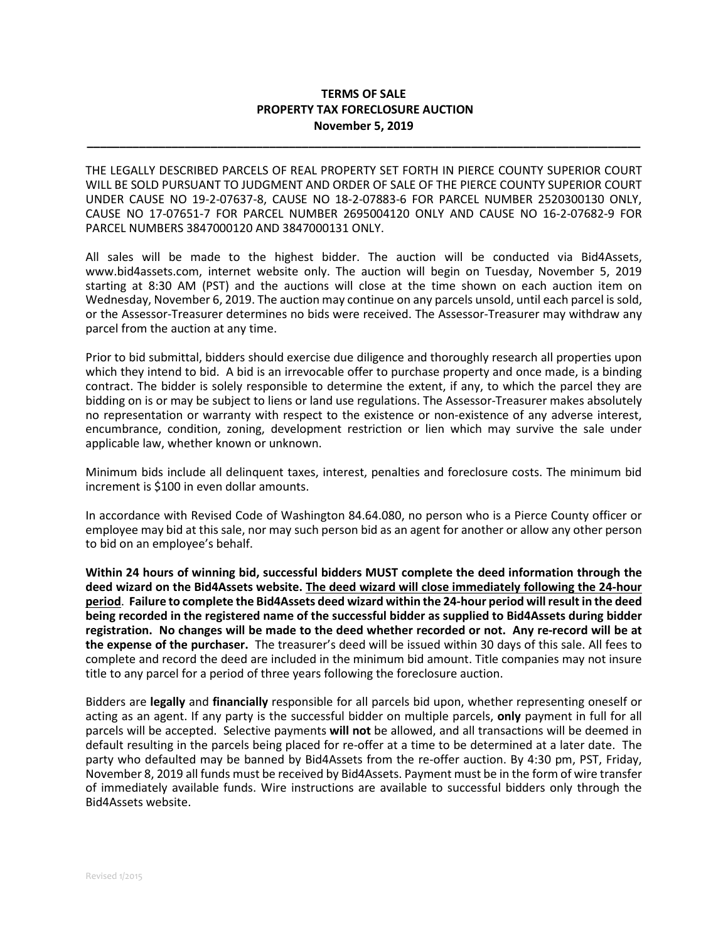## **TERMS OF SALE PROPERTY TAX FORECLOSURE AUCTION November 5, 2019**

**\_\_\_\_\_\_\_\_\_\_\_\_\_\_\_\_\_\_\_\_\_\_\_\_\_\_\_\_\_\_\_\_\_\_\_\_\_\_\_\_\_\_\_\_\_\_\_\_\_\_\_\_\_\_\_\_\_\_\_\_\_\_\_\_\_\_\_\_\_\_\_\_\_\_\_\_\_\_\_\_\_\_\_\_\_**

THE LEGALLY DESCRIBED PARCELS OF REAL PROPERTY SET FORTH IN PIERCE COUNTY SUPERIOR COURT WILL BE SOLD PURSUANT TO JUDGMENT AND ORDER OF SALE OF THE PIERCE COUNTY SUPERIOR COURT UNDER CAUSE NO 19-2-07637-8, CAUSE NO 18-2-07883-6 FOR PARCEL NUMBER 2520300130 ONLY, CAUSE NO 17-07651-7 FOR PARCEL NUMBER 2695004120 ONLY AND CAUSE NO 16-2-07682-9 FOR PARCEL NUMBERS 3847000120 AND 3847000131 ONLY.

All sales will be made to the highest bidder. The auction will be conducted via Bid4Assets, www.bid4assets.com, internet website only. The auction will begin on Tuesday, November 5, 2019 starting at 8:30 AM (PST) and the auctions will close at the time shown on each auction item on Wednesday, November 6, 2019. The auction may continue on any parcels unsold, until each parcel is sold, or the Assessor-Treasurer determines no bids were received. The Assessor-Treasurer may withdraw any parcel from the auction at any time.

Prior to bid submittal, bidders should exercise due diligence and thoroughly research all properties upon which they intend to bid. A bid is an irrevocable offer to purchase property and once made, is a binding contract. The bidder is solely responsible to determine the extent, if any, to which the parcel they are bidding on is or may be subject to liens or land use regulations. The Assessor-Treasurer makes absolutely no representation or warranty with respect to the existence or non-existence of any adverse interest, encumbrance, condition, zoning, development restriction or lien which may survive the sale under applicable law, whether known or unknown.

Minimum bids include all delinquent taxes, interest, penalties and foreclosure costs. The minimum bid increment is \$100 in even dollar amounts.

In accordance with Revised Code of Washington 84.64.080, no person who is a Pierce County officer or employee may bid at this sale, nor may such person bid as an agent for another or allow any other person to bid on an employee's behalf.

**Within 24 hours of winning bid, successful bidders MUST complete the deed information through the deed wizard on the Bid4Assets website. The deed wizard will close immediately following the 24-hour period**. **Failure to complete the Bid4Assets deed wizard within the 24-hour period will result in the deed being recorded in the registered name of the successful bidder as supplied to Bid4Assets during bidder registration. No changes will be made to the deed whether recorded or not. Any re-record will be at the expense of the purchaser.** The treasurer's deed will be issued within 30 days of this sale. All fees to complete and record the deed are included in the minimum bid amount. Title companies may not insure title to any parcel for a period of three years following the foreclosure auction.

Bidders are **legally** and **financially** responsible for all parcels bid upon, whether representing oneself or acting as an agent. If any party is the successful bidder on multiple parcels, **only** payment in full for all parcels will be accepted. Selective payments **will not** be allowed, and all transactions will be deemed in default resulting in the parcels being placed for re-offer at a time to be determined at a later date. The party who defaulted may be banned by Bid4Assets from the re-offer auction. By 4:30 pm, PST, Friday, November 8, 2019 all funds must be received by Bid4Assets. Payment must be in the form of wire transfer of immediately available funds. Wire instructions are available to successful bidders only through the Bid4Assets website.